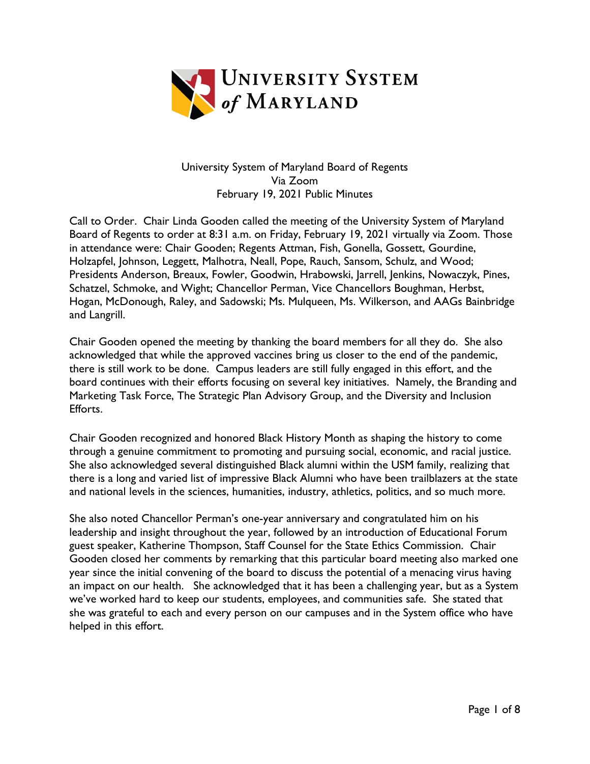

## University System of Maryland Board of Regents Via Zoom February 19, 2021 Public Minutes

Call to Order. Chair Linda Gooden called the meeting of the University System of Maryland Board of Regents to order at 8:31 a.m. on Friday, February 19, 2021 virtually via Zoom. Those in attendance were: Chair Gooden; Regents Attman, Fish, Gonella, Gossett, Gourdine, Holzapfel, Johnson, Leggett, Malhotra, Neall, Pope, Rauch, Sansom, Schulz, and Wood; Presidents Anderson, Breaux, Fowler, Goodwin, Hrabowski, Jarrell, Jenkins, Nowaczyk, Pines, Schatzel, Schmoke, and Wight; Chancellor Perman, Vice Chancellors Boughman, Herbst, Hogan, McDonough, Raley, and Sadowski; Ms. Mulqueen, Ms. Wilkerson, and AAGs Bainbridge and Langrill.

Chair Gooden opened the meeting by thanking the board members for all they do. She also acknowledged that while the approved vaccines bring us closer to the end of the pandemic, there is still work to be done. Campus leaders are still fully engaged in this effort, and the board continues with their efforts focusing on several key initiatives. Namely, the Branding and Marketing Task Force, The Strategic Plan Advisory Group, and the Diversity and Inclusion Efforts.

Chair Gooden recognized and honored Black History Month as shaping the history to come through a genuine commitment to promoting and pursuing social, economic, and racial justice. She also acknowledged several distinguished Black alumni within the USM family, realizing that there is a long and varied list of impressive Black Alumni who have been trailblazers at the state and national levels in the sciences, humanities, industry, athletics, politics, and so much more.

She also noted Chancellor Perman's one-year anniversary and congratulated him on his leadership and insight throughout the year, followed by an introduction of Educational Forum guest speaker, Katherine Thompson, Staff Counsel for the State Ethics Commission. Chair Gooden closed her comments by remarking that this particular board meeting also marked one year since the initial convening of the board to discuss the potential of a menacing virus having an impact on our health. She acknowledged that it has been a challenging year, but as a System we've worked hard to keep our students, employees, and communities safe. She stated that she was grateful to each and every person on our campuses and in the System office who have helped in this effort.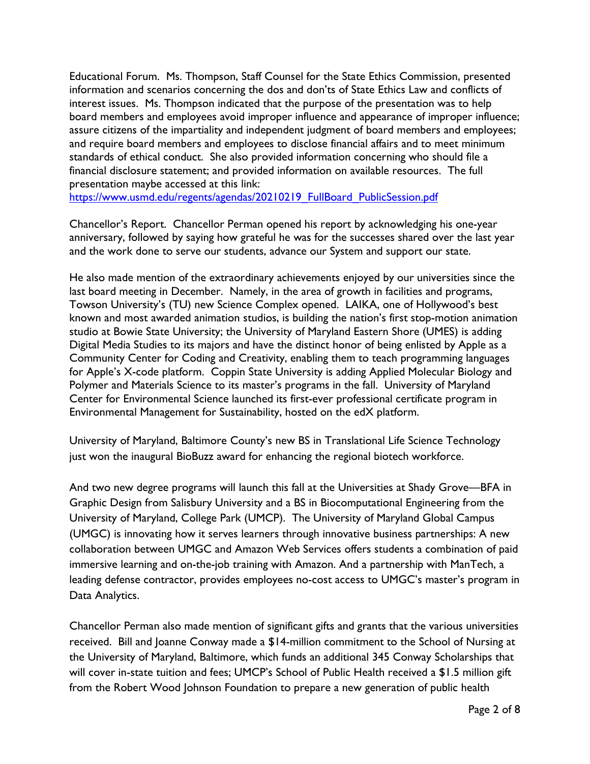Educational Forum. Ms. Thompson, Staff Counsel for the State Ethics Commission, presented information and scenarios concerning the dos and don'ts of State Ethics Law and conflicts of interest issues. Ms. Thompson indicated that the purpose of the presentation was to help board members and employees avoid improper influence and appearance of improper influence; assure citizens of the impartiality and independent judgment of board members and employees; and require board members and employees to disclose financial affairs and to meet minimum standards of ethical conduct. She also provided information concerning who should file a financial disclosure statement; and provided information on available resources. The full presentation maybe accessed at this link:

[https://www.usmd.edu/regents/agendas/20210219\\_FullBoard\\_PublicSession.pdf](https://www.usmd.edu/regents/agendas/20210219_FullBoard_PublicSession.pdf)

Chancellor's Report. Chancellor Perman opened his report by acknowledging his one-year anniversary, followed by saying how grateful he was for the successes shared over the last year and the work done to serve our students, advance our System and support our state.

He also made mention of the extraordinary achievements enjoyed by our universities since the last board meeting in December. Namely, in the area of growth in facilities and programs, Towson University's (TU) new Science Complex opened. LAIKA, one of Hollywood's best known and most awarded animation studios, is building the nation's first stop-motion animation studio at Bowie State University; the University of Maryland Eastern Shore (UMES) is adding Digital Media Studies to its majors and have the distinct honor of being enlisted by Apple as a Community Center for Coding and Creativity, enabling them to teach programming languages for Apple's X-code platform. Coppin State University is adding Applied Molecular Biology and Polymer and Materials Science to its master's programs in the fall. University of Maryland Center for Environmental Science launched its first-ever professional certificate program in Environmental Management for Sustainability, hosted on the edX platform.

University of Maryland, Baltimore County's new BS in Translational Life Science Technology just won the inaugural BioBuzz award for enhancing the regional biotech workforce.

And two new degree programs will launch this fall at the Universities at Shady Grove—BFA in Graphic Design from Salisbury University and a BS in Biocomputational Engineering from the University of Maryland, College Park (UMCP). The University of Maryland Global Campus (UMGC) is innovating how it serves learners through innovative business partnerships: A new collaboration between UMGC and Amazon Web Services offers students a combination of paid immersive learning and on-the-job training with Amazon. And a partnership with ManTech, a leading defense contractor, provides employees no-cost access to UMGC's master's program in Data Analytics.

Chancellor Perman also made mention of significant gifts and grants that the various universities received. Bill and Joanne Conway made a \$14-million commitment to the School of Nursing at the University of Maryland, Baltimore, which funds an additional 345 Conway Scholarships that will cover in-state tuition and fees; UMCP's School of Public Health received a \$1.5 million gift from the Robert Wood Johnson Foundation to prepare a new generation of public health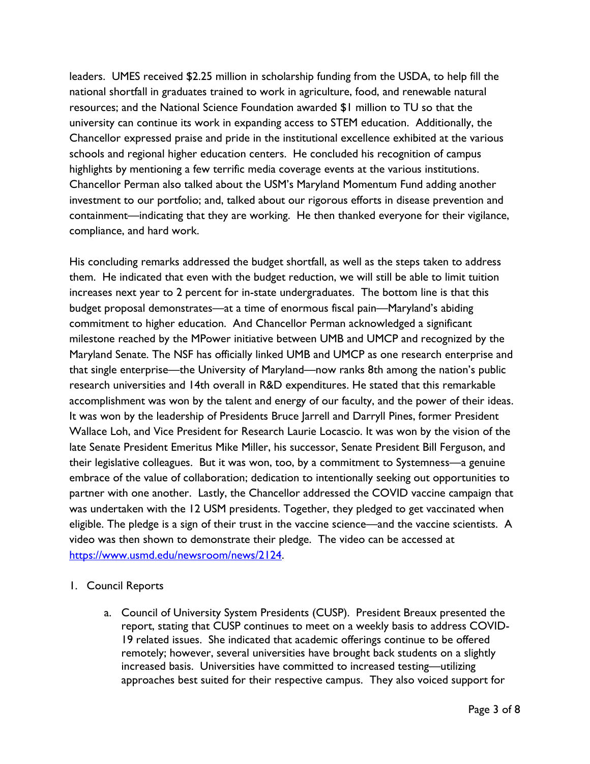leaders. UMES received \$2.25 million in scholarship funding from the USDA, to help fill the national shortfall in graduates trained to work in agriculture, food, and renewable natural resources; and the National Science Foundation awarded \$1 million to TU so that the university can continue its work in expanding access to STEM education. Additionally, the Chancellor expressed praise and pride in the institutional excellence exhibited at the various schools and regional higher education centers. He concluded his recognition of campus highlights by mentioning a few terrific media coverage events at the various institutions. Chancellor Perman also talked about the USM's Maryland Momentum Fund adding another investment to our portfolio; and, talked about our rigorous efforts in disease prevention and containment—indicating that they are working. He then thanked everyone for their vigilance, compliance, and hard work.

His concluding remarks addressed the budget shortfall, as well as the steps taken to address them. He indicated that even with the budget reduction, we will still be able to limit tuition increases next year to 2 percent for in-state undergraduates. The bottom line is that this budget proposal demonstrates—at a time of enormous fiscal pain—Maryland's abiding commitment to higher education. And Chancellor Perman acknowledged a significant milestone reached by the MPower initiative between UMB and UMCP and recognized by the Maryland Senate. The NSF has officially linked UMB and UMCP as one research enterprise and that single enterprise—the University of Maryland—now ranks 8th among the nation's public research universities and 14th overall in R&D expenditures. He stated that this remarkable accomplishment was won by the talent and energy of our faculty, and the power of their ideas. It was won by the leadership of Presidents Bruce Jarrell and Darryll Pines, former President Wallace Loh, and Vice President for Research Laurie Locascio. It was won by the vision of the late Senate President Emeritus Mike Miller, his successor, Senate President Bill Ferguson, and their legislative colleagues. But it was won, too, by a commitment to Systemness—a genuine embrace of the value of collaboration; dedication to intentionally seeking out opportunities to partner with one another. Lastly, the Chancellor addressed the COVID vaccine campaign that was undertaken with the 12 USM presidents. Together, they pledged to get vaccinated when eligible. The pledge is a sign of their trust in the vaccine science—and the vaccine scientists. A video was then shown to demonstrate their pledge. The video can be accessed at [https://www.usmd.edu/newsroom/news/2124.](https://www.usmd.edu/newsroom/news/2124)

## 1. Council Reports

a. Council of University System Presidents (CUSP). President Breaux presented the report, stating that CUSP continues to meet on a weekly basis to address COVID-19 related issues. She indicated that academic offerings continue to be offered remotely; however, several universities have brought back students on a slightly increased basis. Universities have committed to increased testing—utilizing approaches best suited for their respective campus. They also voiced support for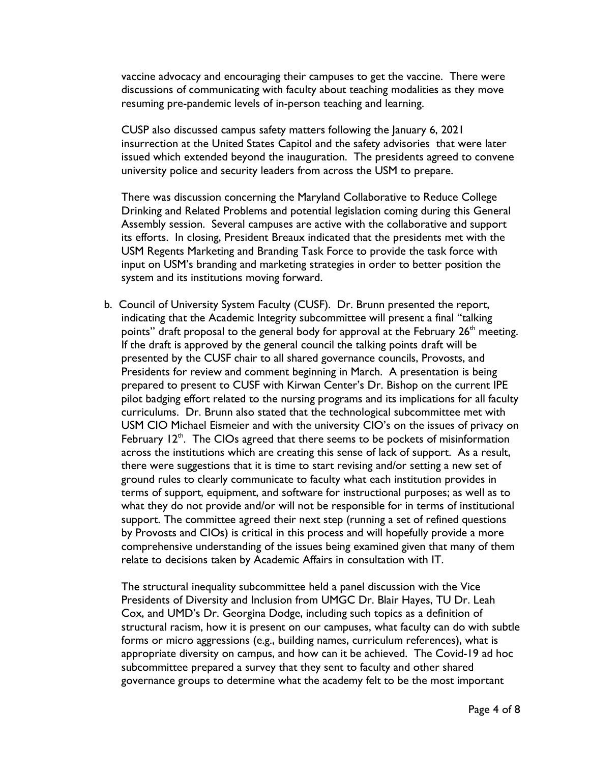vaccine advocacy and encouraging their campuses to get the vaccine. There were discussions of communicating with faculty about teaching modalities as they move resuming pre-pandemic levels of in-person teaching and learning.

CUSP also discussed campus safety matters following the January 6, 2021 insurrection at the United States Capitol and the safety advisories that were later issued which extended beyond the inauguration. The presidents agreed to convene university police and security leaders from across the USM to prepare.

There was discussion concerning the Maryland Collaborative to Reduce College Drinking and Related Problems and potential legislation coming during this General Assembly session. Several campuses are active with the collaborative and support its efforts. In closing, President Breaux indicated that the presidents met with the USM Regents Marketing and Branding Task Force to provide the task force with input on USM's branding and marketing strategies in order to better position the system and its institutions moving forward.

b. Council of University System Faculty (CUSF). Dr. Brunn presented the report, indicating that the Academic Integrity subcommittee will present a final "talking points" draft proposal to the general body for approval at the February 26<sup>th</sup> meeting. If the draft is approved by the general council the talking points draft will be presented by the CUSF chair to all shared governance councils, Provosts, and Presidents for review and comment beginning in March. A presentation is being prepared to present to CUSF with Kirwan Center's Dr. Bishop on the current IPE pilot badging effort related to the nursing programs and its implications for all faculty curriculums. Dr. Brunn also stated that the technological subcommittee met with USM CIO Michael Eismeier and with the university CIO's on the issues of privacy on February  $12<sup>th</sup>$ . The CIOs agreed that there seems to be pockets of misinformation across the institutions which are creating this sense of lack of support. As a result, there were suggestions that it is time to start revising and/or setting a new set of ground rules to clearly communicate to faculty what each institution provides in terms of support, equipment, and software for instructional purposes; as well as to what they do not provide and/or will not be responsible for in terms of institutional support. The committee agreed their next step (running a set of refined questions by Provosts and CIOs) is critical in this process and will hopefully provide a more comprehensive understanding of the issues being examined given that many of them relate to decisions taken by Academic Affairs in consultation with IT.

The structural inequality subcommittee held a panel discussion with the Vice Presidents of Diversity and Inclusion from UMGC Dr. Blair Hayes, TU Dr. Leah Cox, and UMD's Dr. Georgina Dodge, including such topics as a definition of structural racism, how it is present on our campuses, what faculty can do with subtle forms or micro aggressions (e.g., building names, curriculum references), what is appropriate diversity on campus, and how can it be achieved. The Covid-19 ad hoc subcommittee prepared a survey that they sent to faculty and other shared governance groups to determine what the academy felt to be the most important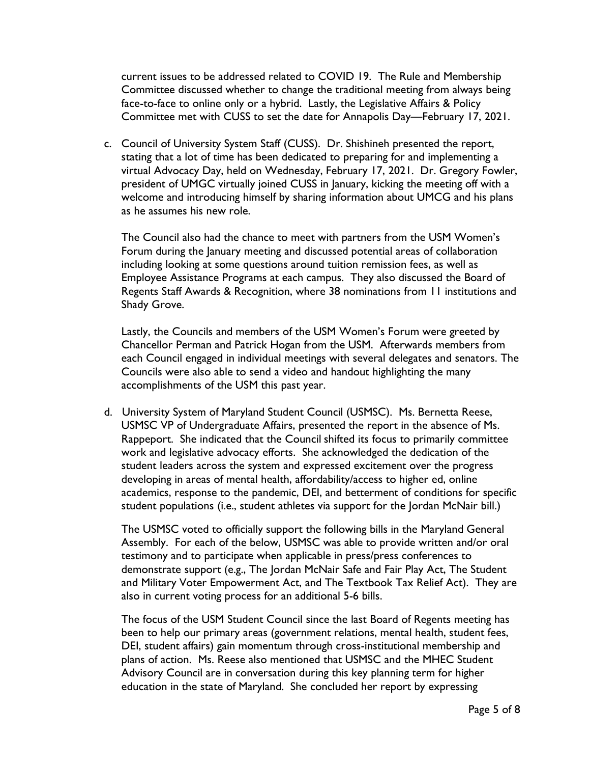current issues to be addressed related to COVID 19. The Rule and Membership Committee discussed whether to change the traditional meeting from always being face-to-face to online only or a hybrid. Lastly, the Legislative Affairs & Policy Committee met with CUSS to set the date for Annapolis Day—February 17, 2021.

c. Council of University System Staff (CUSS). Dr. Shishineh presented the report, stating that a lot of time has been dedicated to preparing for and implementing a virtual Advocacy Day, held on Wednesday, February 17, 2021. Dr. Gregory Fowler, president of UMGC virtually joined CUSS in January, kicking the meeting off with a welcome and introducing himself by sharing information about UMCG and his plans as he assumes his new role.

The Council also had the chance to meet with partners from the USM Women's Forum during the January meeting and discussed potential areas of collaboration including looking at some questions around tuition remission fees, as well as Employee Assistance Programs at each campus. They also discussed the Board of Regents Staff Awards & Recognition, where 38 nominations from 11 institutions and Shady Grove.

Lastly, the Councils and members of the USM Women's Forum were greeted by Chancellor Perman and Patrick Hogan from the USM. Afterwards members from each Council engaged in individual meetings with several delegates and senators. The Councils were also able to send a video and handout highlighting the many accomplishments of the USM this past year.

d. University System of Maryland Student Council (USMSC). Ms. Bernetta Reese, USMSC VP of Undergraduate Affairs, presented the report in the absence of Ms. Rappeport. She indicated that the Council shifted its focus to primarily committee work and legislative advocacy efforts. She acknowledged the dedication of the student leaders across the system and expressed excitement over the progress developing in areas of mental health, affordability/access to higher ed, online academics, response to the pandemic, DEI, and betterment of conditions for specific student populations (i.e., student athletes via support for the Jordan McNair bill.)

The USMSC voted to officially support the following bills in the Maryland General Assembly. For each of the below, USMSC was able to provide written and/or oral testimony and to participate when applicable in press/press conferences to demonstrate support (e.g., The Jordan McNair Safe and Fair Play Act, The Student and Military Voter Empowerment Act, and The Textbook Tax Relief Act). They are also in current voting process for an additional 5-6 bills.

The focus of the USM Student Council since the last Board of Regents meeting has been to help our primary areas (government relations, mental health, student fees, DEI, student affairs) gain momentum through cross-institutional membership and plans of action. Ms. Reese also mentioned that USMSC and the MHEC Student Advisory Council are in conversation during this key planning term for higher education in the state of Maryland. She concluded her report by expressing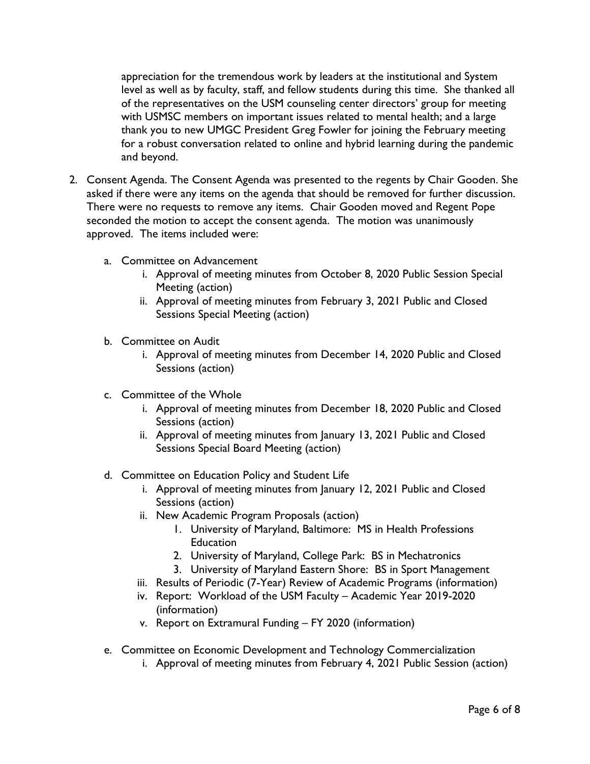appreciation for the tremendous work by leaders at the institutional and System level as well as by faculty, staff, and fellow students during this time. She thanked all of the representatives on the USM counseling center directors' group for meeting with USMSC members on important issues related to mental health; and a large thank you to new UMGC President Greg Fowler for joining the February meeting for a robust conversation related to online and hybrid learning during the pandemic and beyond.

- 2. Consent Agenda. The Consent Agenda was presented to the regents by Chair Gooden. She asked if there were any items on the agenda that should be removed for further discussion. There were no requests to remove any items. Chair Gooden moved and Regent Pope seconded the motion to accept the consent agenda. The motion was unanimously approved. The items included were:
	- a. Committee on Advancement
		- i. Approval of meeting minutes from October 8, 2020 Public Session Special Meeting (action)
		- ii. Approval of meeting minutes from February 3, 2021 Public and Closed Sessions Special Meeting (action)
	- b. Committee on Audit
		- i. Approval of meeting minutes from December 14, 2020 Public and Closed Sessions (action)
	- c. Committee of the Whole
		- i. Approval of meeting minutes from December 18, 2020 Public and Closed Sessions (action)
		- ii. Approval of meeting minutes from January 13, 2021 Public and Closed Sessions Special Board Meeting (action)
	- d. Committee on Education Policy and Student Life
		- i. Approval of meeting minutes from January 12, 2021 Public and Closed Sessions (action)
		- ii. New Academic Program Proposals (action)
			- 1. University of Maryland, Baltimore: MS in Health Professions **Education**
			- 2. University of Maryland, College Park: BS in Mechatronics
			- 3. University of Maryland Eastern Shore: BS in Sport Management
		- iii. Results of Periodic (7-Year) Review of Academic Programs (information)
		- iv. Report: Workload of the USM Faculty Academic Year 2019-2020 (information)
		- v. Report on Extramural Funding FY 2020 (information)
	- e. Committee on Economic Development and Technology Commercialization
		- i. Approval of meeting minutes from February 4, 2021 Public Session (action)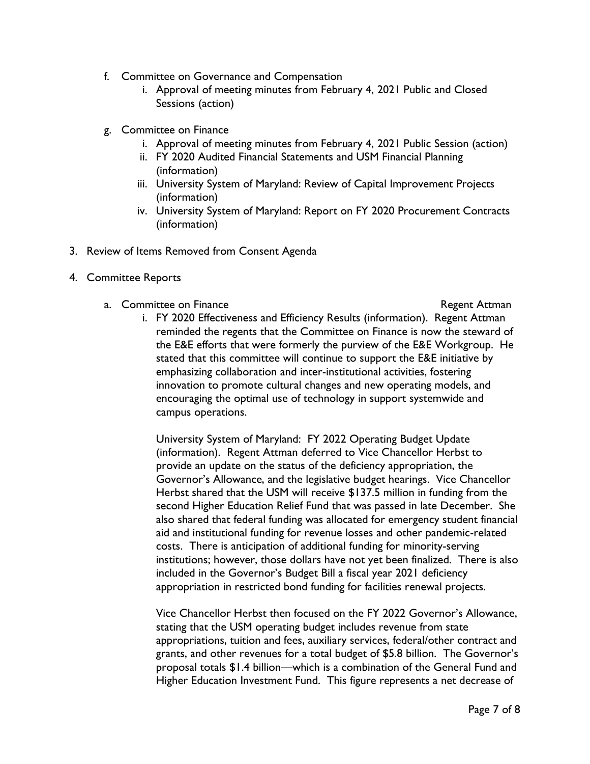- f. Committee on Governance and Compensation
	- i. Approval of meeting minutes from February 4, 2021 Public and Closed Sessions (action)
- g. Committee on Finance
	- i. Approval of meeting minutes from February 4, 2021 Public Session (action)
	- ii. FY 2020 Audited Financial Statements and USM Financial Planning (information)
	- iii. University System of Maryland: Review of Capital Improvement Projects (information)
	- iv. University System of Maryland: Report on FY 2020 Procurement Contracts (information)
- 3. Review of Items Removed from Consent Agenda
- 4. Committee Reports
	- a. Committee on Finance and The Committee on Finance and The Regent Attman

i. FY 2020 Effectiveness and Efficiency Results (information). Regent Attman reminded the regents that the Committee on Finance is now the steward of the E&E efforts that were formerly the purview of the E&E Workgroup. He stated that this committee will continue to support the E&E initiative by emphasizing collaboration and inter-institutional activities, fostering innovation to promote cultural changes and new operating models, and encouraging the optimal use of technology in support systemwide and campus operations.

University System of Maryland: FY 2022 Operating Budget Update (information). Regent Attman deferred to Vice Chancellor Herbst to provide an update on the status of the deficiency appropriation, the Governor's Allowance, and the legislative budget hearings. Vice Chancellor Herbst shared that the USM will receive \$137.5 million in funding from the second Higher Education Relief Fund that was passed in late December. She also shared that federal funding was allocated for emergency student financial aid and institutional funding for revenue losses and other pandemic-related costs. There is anticipation of additional funding for minority-serving institutions; however, those dollars have not yet been finalized. There is also included in the Governor's Budget Bill a fiscal year 2021 deficiency appropriation in restricted bond funding for facilities renewal projects.

Vice Chancellor Herbst then focused on the FY 2022 Governor's Allowance, stating that the USM operating budget includes revenue from state appropriations, tuition and fees, auxiliary services, federal/other contract and grants, and other revenues for a total budget of \$5.8 billion. The Governor's proposal totals \$1.4 billion—which is a combination of the General Fund and Higher Education Investment Fund. This figure represents a net decrease of